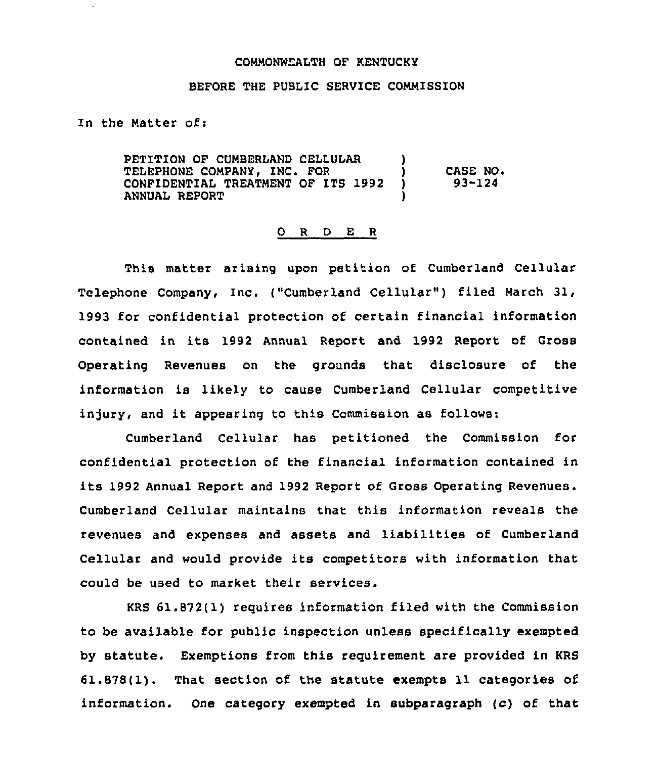## COMMONWEALTH OF KENTUCKY

## BEFORE THE PUBLIC SERVICE COMMISSION

In the Matter of:

PETITION OF CUMBERLAND CELLULAR ١. TELEPHONE COMPANY, INC. FOR  $\overline{)}$  CASE NO.<br>  $\overline{)}$  93-124 CONFIDENTIAL TREATMENT OF ITS 1992 ) 93-124 ANNUAL REPORT

## O R D E R

This matter arising upon petition of Cumberland Cellular Telephone Company, Inc. ( "Cumberland Cellular" ) filed March 31, 1993 for confidential protection of certain financial information contained in its 1992 Annual Report and 1992 Report of Gross Operating Revenues on the grounds that disclosure of the information is likely to cause Cumberland Cellular competitive injury, and it appearing to this Commission as follows:

Cumberland Cellular has petitioned the Commission for confidential protection of the financial information contained in its 1992 Annual Report and 1992 Report of Gross Operating Revenues. Cumberland Cellular maintains that this information reveals the revenues and expenses and assets and liabilities of Cumberland Cellular and would provide its competitors with information that could be used to market their services.

KRS 61.872(1) requires information filed with the Commission to be available for public inspection unless specifically exempted by statute. Exemptions from this requirement are provided in KRS 61.87S(1). That section of the statute exempts 11 categories of information. One category exempted in subparagraph (c) of that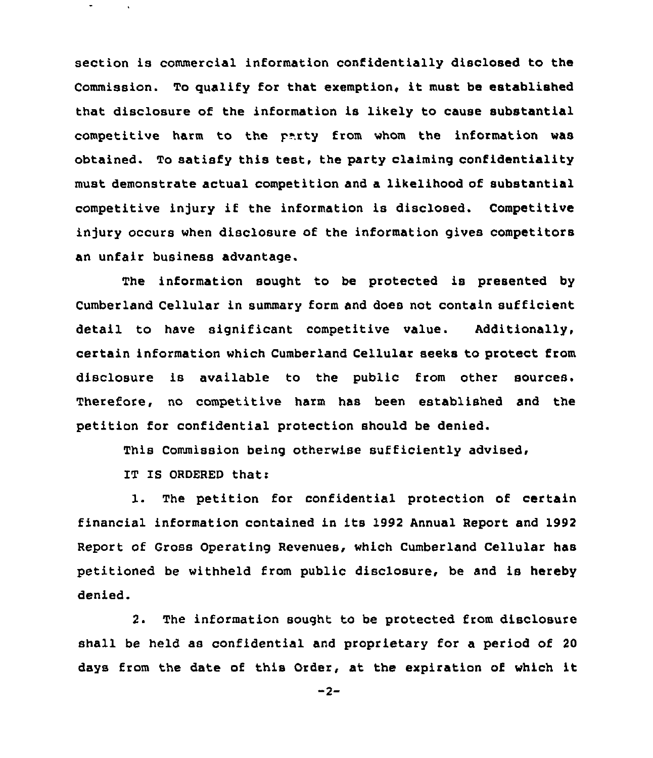section is commercial information confidentially disclosed to the Commission. To qualify for that exemption, it must be established that disclosure of the information is likely to cause substantial competitive harm to the party from whom the information was obtained. To satisfy this test, the party claiming confidentiality must demonstrate actual competition and a likelihood of substantial competitive injury if the information is disclosed. Competitive injury occurs when disclosure of the information gives competitors an unfair business advantage.

The information sought to be protected is presented by Cumberland Cellular in summary form and does not contain sufficient detail to have significant competitive value. Additionally, certain information which Cumberland Cellular seeks to protect from disclosure is available to the public from other sources. Therefore, no competitive harm has been established and the petition for confidential protection should be denied.

This Commission being otherwise sufficiently advised,

IT IS ORDERED that:

1. The petition for confidential protection of certain financial information contained in its 1992 Annual Report and 1992 Report of Gross Operating Revenues, which Cumberland Cellular has petitioned be withheld from public disclosure, be and is hereby denied.

2. The information sought to be protected from disclosure shall be held as confidential and proprietary for a period of 20 days from the date of this Order, at the expiration of which it

 $-2-$